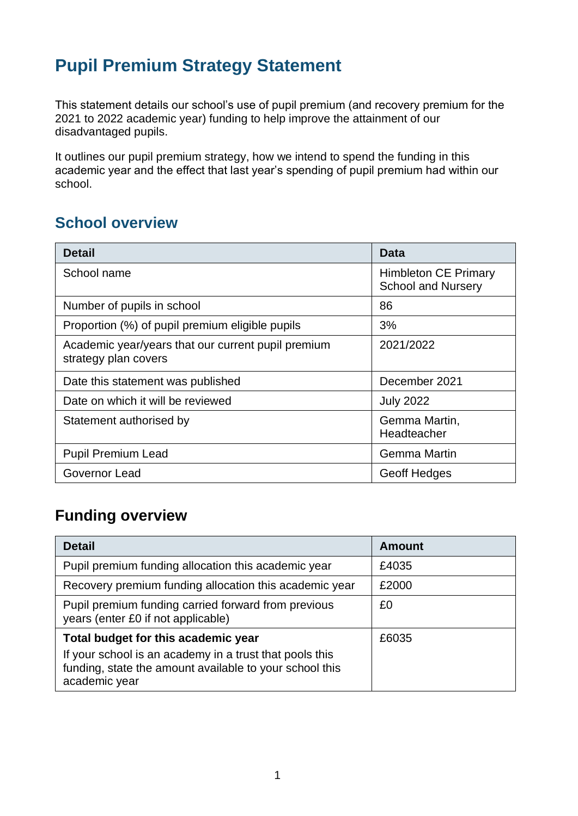## **Pupil Premium Strategy Statement**

This statement details our school's use of pupil premium (and recovery premium for the 2021 to 2022 academic year) funding to help improve the attainment of our disadvantaged pupils.

It outlines our pupil premium strategy, how we intend to spend the funding in this academic year and the effect that last year's spending of pupil premium had within our school.

### **School overview**

| <b>Detail</b>                                                              | <b>Data</b>                                              |
|----------------------------------------------------------------------------|----------------------------------------------------------|
| School name                                                                | <b>Himbleton CE Primary</b><br><b>School and Nursery</b> |
| Number of pupils in school                                                 | 86                                                       |
| Proportion (%) of pupil premium eligible pupils                            | 3%                                                       |
| Academic year/years that our current pupil premium<br>strategy plan covers | 2021/2022                                                |
| Date this statement was published                                          | December 2021                                            |
| Date on which it will be reviewed                                          | <b>July 2022</b>                                         |
| Statement authorised by                                                    | Gemma Martin,<br>Headteacher                             |
| <b>Pupil Premium Lead</b>                                                  | <b>Gemma Martin</b>                                      |
| Governor Lead                                                              | <b>Geoff Hedges</b>                                      |

### **Funding overview**

| <b>Detail</b>                                                                                                                       | Amount |
|-------------------------------------------------------------------------------------------------------------------------------------|--------|
| Pupil premium funding allocation this academic year                                                                                 | £4035  |
| Recovery premium funding allocation this academic year                                                                              | £2000  |
| Pupil premium funding carried forward from previous<br>years (enter £0 if not applicable)                                           | £0     |
| Total budget for this academic year                                                                                                 | £6035  |
| If your school is an academy in a trust that pools this<br>funding, state the amount available to your school this<br>academic year |        |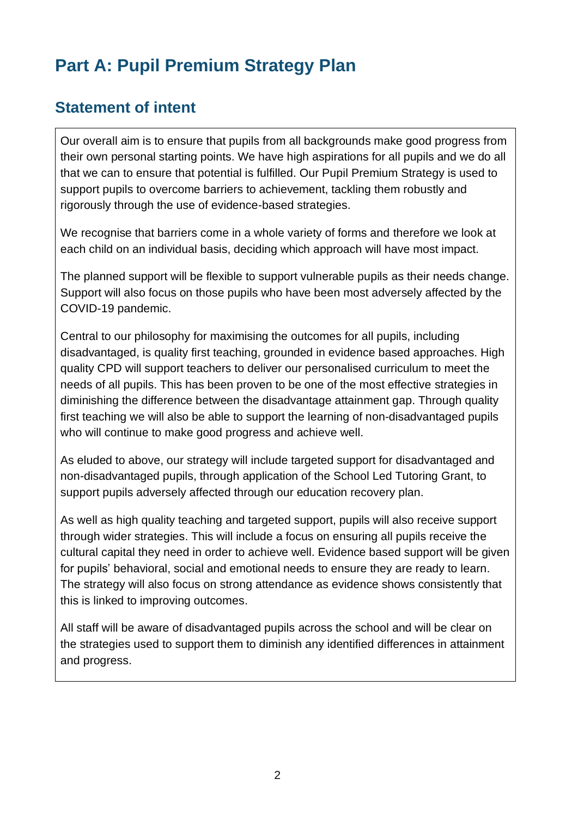# **Part A: Pupil Premium Strategy Plan**

### **Statement of intent**

Our overall aim is to ensure that pupils from all backgrounds make good progress from their own personal starting points. We have high aspirations for all pupils and we do all that we can to ensure that potential is fulfilled. Our Pupil Premium Strategy is used to support pupils to overcome barriers to achievement, tackling them robustly and rigorously through the use of evidence-based strategies.

We recognise that barriers come in a whole variety of forms and therefore we look at each child on an individual basis, deciding which approach will have most impact.

The planned support will be flexible to support vulnerable pupils as their needs change. Support will also focus on those pupils who have been most adversely affected by the COVID-19 pandemic.

Central to our philosophy for maximising the outcomes for all pupils, including disadvantaged, is quality first teaching, grounded in evidence based approaches. High quality CPD will support teachers to deliver our personalised curriculum to meet the needs of all pupils. This has been proven to be one of the most effective strategies in diminishing the difference between the disadvantage attainment gap. Through quality first teaching we will also be able to support the learning of non-disadvantaged pupils who will continue to make good progress and achieve well.

As eluded to above, our strategy will include targeted support for disadvantaged and non-disadvantaged pupils, through application of the School Led Tutoring Grant, to support pupils adversely affected through our education recovery plan.

As well as high quality teaching and targeted support, pupils will also receive support through wider strategies. This will include a focus on ensuring all pupils receive the cultural capital they need in order to achieve well. Evidence based support will be given for pupils' behavioral, social and emotional needs to ensure they are ready to learn. The strategy will also focus on strong attendance as evidence shows consistently that this is linked to improving outcomes.

All staff will be aware of disadvantaged pupils across the school and will be clear on the strategies used to support them to diminish any identified differences in attainment and progress.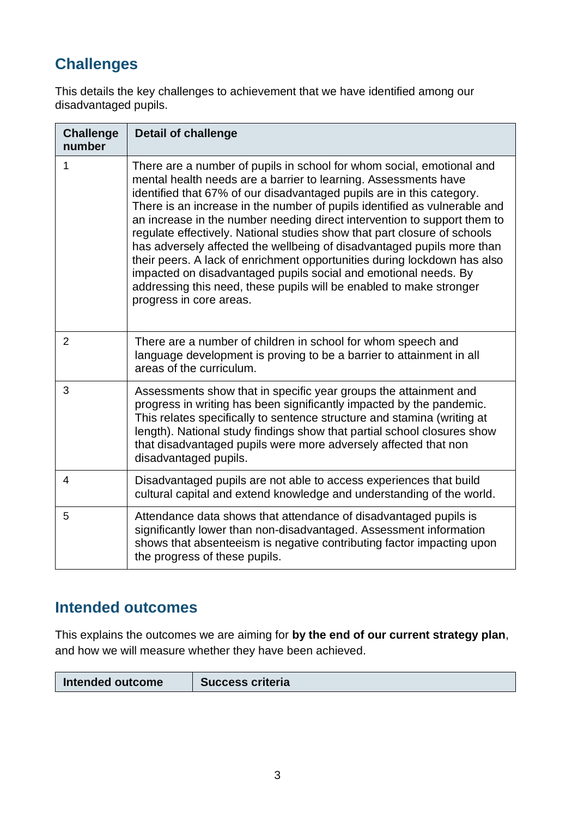## **Challenges**

This details the key challenges to achievement that we have identified among our disadvantaged pupils.

| <b>Challenge</b><br>number | <b>Detail of challenge</b>                                                                                                                                                                                                                                                                                                                                                                                                                                                                                                                                                                                                                                                                                                                                                        |
|----------------------------|-----------------------------------------------------------------------------------------------------------------------------------------------------------------------------------------------------------------------------------------------------------------------------------------------------------------------------------------------------------------------------------------------------------------------------------------------------------------------------------------------------------------------------------------------------------------------------------------------------------------------------------------------------------------------------------------------------------------------------------------------------------------------------------|
| 1                          | There are a number of pupils in school for whom social, emotional and<br>mental health needs are a barrier to learning. Assessments have<br>identified that 67% of our disadvantaged pupils are in this category.<br>There is an increase in the number of pupils identified as vulnerable and<br>an increase in the number needing direct intervention to support them to<br>regulate effectively. National studies show that part closure of schools<br>has adversely affected the wellbeing of disadvantaged pupils more than<br>their peers. A lack of enrichment opportunities during lockdown has also<br>impacted on disadvantaged pupils social and emotional needs. By<br>addressing this need, these pupils will be enabled to make stronger<br>progress in core areas. |
| $\overline{2}$             | There are a number of children in school for whom speech and<br>language development is proving to be a barrier to attainment in all<br>areas of the curriculum.                                                                                                                                                                                                                                                                                                                                                                                                                                                                                                                                                                                                                  |
| 3                          | Assessments show that in specific year groups the attainment and<br>progress in writing has been significantly impacted by the pandemic.<br>This relates specifically to sentence structure and stamina (writing at<br>length). National study findings show that partial school closures show<br>that disadvantaged pupils were more adversely affected that non<br>disadvantaged pupils.                                                                                                                                                                                                                                                                                                                                                                                        |
| 4                          | Disadvantaged pupils are not able to access experiences that build<br>cultural capital and extend knowledge and understanding of the world.                                                                                                                                                                                                                                                                                                                                                                                                                                                                                                                                                                                                                                       |
| 5                          | Attendance data shows that attendance of disadvantaged pupils is<br>significantly lower than non-disadvantaged. Assessment information<br>shows that absenteeism is negative contributing factor impacting upon<br>the progress of these pupils.                                                                                                                                                                                                                                                                                                                                                                                                                                                                                                                                  |

### **Intended outcomes**

This explains the outcomes we are aiming for **by the end of our current strategy plan**, and how we will measure whether they have been achieved.

| Intended outcome | <b>Success criteria</b> |
|------------------|-------------------------|
|                  |                         |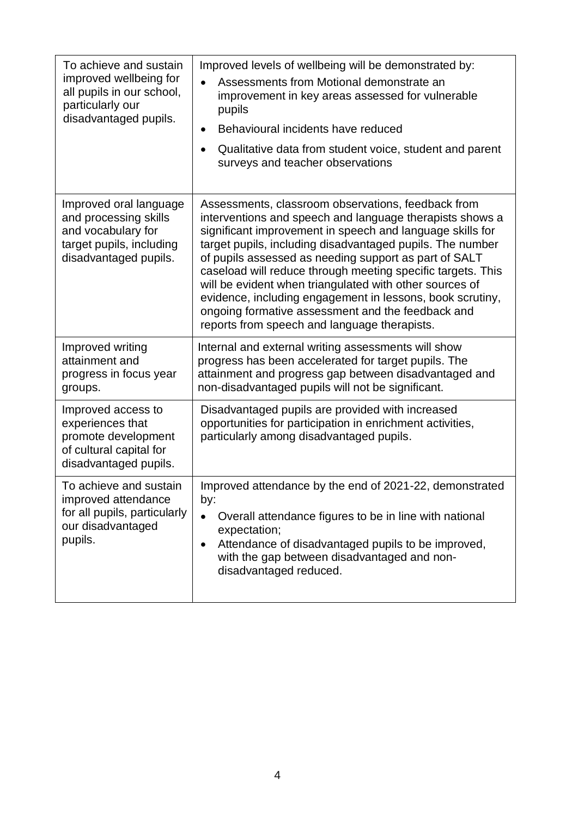| To achieve and sustain<br>improved wellbeing for<br>all pupils in our school,<br>particularly our<br>disadvantaged pupils. | Improved levels of wellbeing will be demonstrated by:<br>Assessments from Motional demonstrate an<br>improvement in key areas assessed for vulnerable<br>pupils<br>Behavioural incidents have reduced<br>$\bullet$<br>Qualitative data from student voice, student and parent<br>$\bullet$<br>surveys and teacher observations                                                                                                                                                                                                                                                                |
|----------------------------------------------------------------------------------------------------------------------------|-----------------------------------------------------------------------------------------------------------------------------------------------------------------------------------------------------------------------------------------------------------------------------------------------------------------------------------------------------------------------------------------------------------------------------------------------------------------------------------------------------------------------------------------------------------------------------------------------|
| Improved oral language<br>and processing skills<br>and vocabulary for<br>target pupils, including<br>disadvantaged pupils. | Assessments, classroom observations, feedback from<br>interventions and speech and language therapists shows a<br>significant improvement in speech and language skills for<br>target pupils, including disadvantaged pupils. The number<br>of pupils assessed as needing support as part of SALT<br>caseload will reduce through meeting specific targets. This<br>will be evident when triangulated with other sources of<br>evidence, including engagement in lessons, book scrutiny,<br>ongoing formative assessment and the feedback and<br>reports from speech and language therapists. |
| Improved writing<br>attainment and<br>progress in focus year<br>groups.                                                    | Internal and external writing assessments will show<br>progress has been accelerated for target pupils. The<br>attainment and progress gap between disadvantaged and<br>non-disadvantaged pupils will not be significant.                                                                                                                                                                                                                                                                                                                                                                     |
| Improved access to<br>experiences that<br>promote development<br>of cultural capital for<br>disadvantaged pupils.          | Disadvantaged pupils are provided with increased<br>opportunities for participation in enrichment activities,<br>particularly among disadvantaged pupils.                                                                                                                                                                                                                                                                                                                                                                                                                                     |
| To achieve and sustain<br>improved attendance<br>for all pupils, particularly<br>our disadvantaged<br>pupils.              | Improved attendance by the end of 2021-22, demonstrated<br>by:<br>Overall attendance figures to be in line with national<br>$\bullet$<br>expectation;<br>Attendance of disadvantaged pupils to be improved,<br>$\bullet$<br>with the gap between disadvantaged and non-<br>disadvantaged reduced.                                                                                                                                                                                                                                                                                             |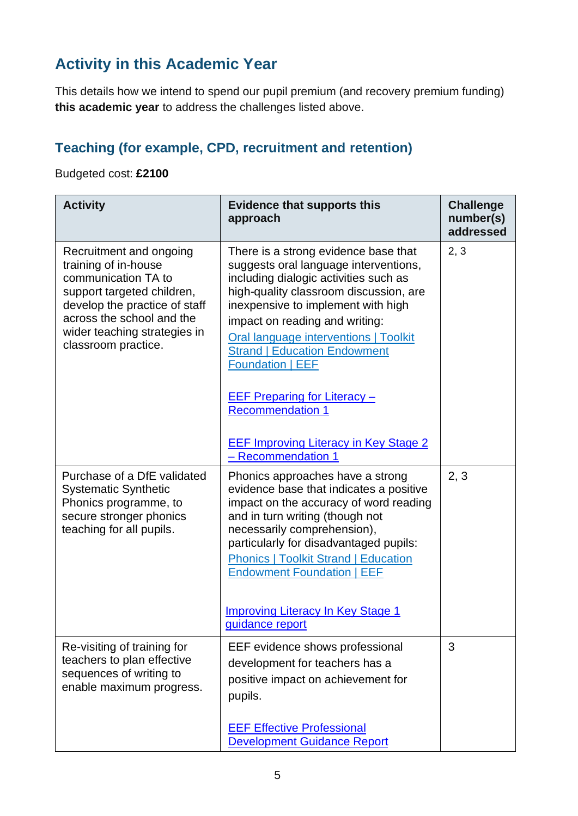## **Activity in this Academic Year**

This details how we intend to spend our pupil premium (and recovery premium funding) **this academic year** to address the challenges listed above.

### **Teaching (for example, CPD, recruitment and retention)**

#### Budgeted cost: **£2100**

| <b>Activity</b>                                                                                                                                                                                                           | <b>Evidence that supports this</b><br>approach                                                                                                                                                                                                                                                                                                                                                                                                                               | <b>Challenge</b><br>number(s)<br>addressed |
|---------------------------------------------------------------------------------------------------------------------------------------------------------------------------------------------------------------------------|------------------------------------------------------------------------------------------------------------------------------------------------------------------------------------------------------------------------------------------------------------------------------------------------------------------------------------------------------------------------------------------------------------------------------------------------------------------------------|--------------------------------------------|
| Recruitment and ongoing<br>training of in-house<br>communication TA to<br>support targeted children,<br>develop the practice of staff<br>across the school and the<br>wider teaching strategies in<br>classroom practice. | There is a strong evidence base that<br>suggests oral language interventions,<br>including dialogic activities such as<br>high-quality classroom discussion, are<br>inexpensive to implement with high<br>impact on reading and writing:<br><b>Oral language interventions   Toolkit</b><br><b>Strand   Education Endowment</b><br><b>Foundation   EEF</b><br><b>EEF Preparing for Literacy -</b><br><b>Recommendation 1</b><br><b>EEF Improving Literacy in Key Stage 2</b> | 2, 3                                       |
| Purchase of a DfE validated<br><b>Systematic Synthetic</b><br>Phonics programme, to<br>secure stronger phonics<br>teaching for all pupils.                                                                                | - Recommendation 1<br>Phonics approaches have a strong<br>evidence base that indicates a positive<br>impact on the accuracy of word reading<br>and in turn writing (though not<br>necessarily comprehension),<br>particularly for disadvantaged pupils:<br><b>Phonics   Toolkit Strand   Education</b><br><b>Endowment Foundation   EEF</b><br><b>Improving Literacy In Key Stage 1</b><br>quidance report                                                                   | 2, 3                                       |
| Re-visiting of training for<br>teachers to plan effective<br>sequences of writing to<br>enable maximum progress.                                                                                                          | EEF evidence shows professional<br>development for teachers has a<br>positive impact on achievement for<br>pupils.<br><b>EEF Effective Professional</b><br><b>Development Guidance Report</b>                                                                                                                                                                                                                                                                                | 3                                          |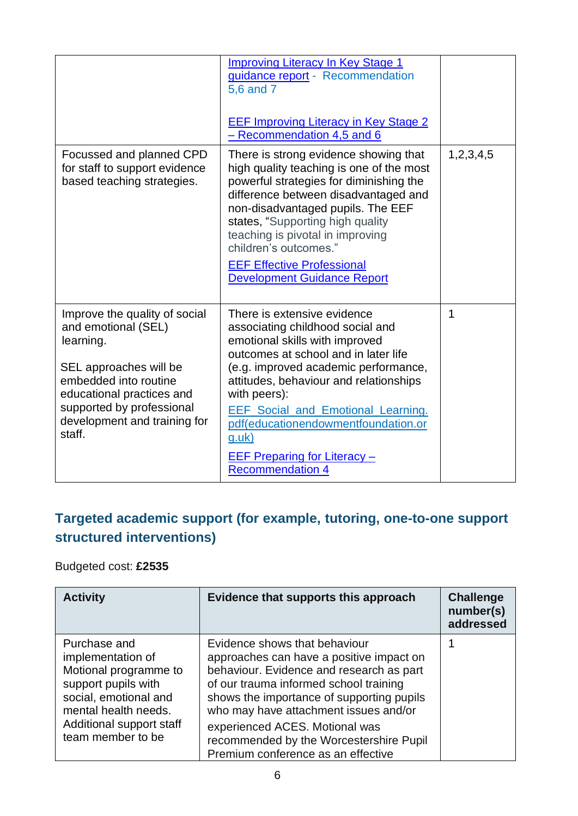|                                                                                                                                                                                                                          | <b>Improving Literacy In Key Stage 1</b><br>guidance report - Recommendation<br>5,6 and 7<br><b>EEF Improving Literacy in Key Stage 2</b><br>- Recommendation 4,5 and 6                                                                                                                                                                                                                                   |           |
|--------------------------------------------------------------------------------------------------------------------------------------------------------------------------------------------------------------------------|-----------------------------------------------------------------------------------------------------------------------------------------------------------------------------------------------------------------------------------------------------------------------------------------------------------------------------------------------------------------------------------------------------------|-----------|
| Focussed and planned CPD<br>for staff to support evidence<br>based teaching strategies.                                                                                                                                  | There is strong evidence showing that<br>high quality teaching is one of the most<br>powerful strategies for diminishing the<br>difference between disadvantaged and<br>non-disadvantaged pupils. The EEF<br>states, "Supporting high quality<br>teaching is pivotal in improving<br>children's outcomes."<br><b>EEF Effective Professional</b><br><b>Development Guidance Report</b>                     | 1,2,3,4,5 |
| Improve the quality of social<br>and emotional (SEL)<br>learning.<br>SEL approaches will be<br>embedded into routine<br>educational practices and<br>supported by professional<br>development and training for<br>staff. | There is extensive evidence<br>associating childhood social and<br>emotional skills with improved<br>outcomes at school and in later life<br>(e.g. improved academic performance,<br>attitudes, behaviour and relationships<br>with peers):<br><b>EEF Social and Emotional Learning.</b><br>pdf(educationendowmentfoundation.or<br>$g.$ uk $)$<br>EEF Preparing for Literacy -<br><b>Recommendation 4</b> | 1         |

### **Targeted academic support (for example, tutoring, one-to-one support structured interventions)**

#### Budgeted cost: **£2535**

| <b>Activity</b>                                                                                                                                                                     | Evidence that supports this approach                                                                                                                                                                                                                                                                                                                                     | <b>Challenge</b><br>number(s)<br>addressed |
|-------------------------------------------------------------------------------------------------------------------------------------------------------------------------------------|--------------------------------------------------------------------------------------------------------------------------------------------------------------------------------------------------------------------------------------------------------------------------------------------------------------------------------------------------------------------------|--------------------------------------------|
| Purchase and<br>implementation of<br>Motional programme to<br>support pupils with<br>social, emotional and<br>mental health needs.<br>Additional support staff<br>team member to be | Evidence shows that behaviour<br>approaches can have a positive impact on<br>behaviour. Evidence and research as part<br>of our trauma informed school training<br>shows the importance of supporting pupils<br>who may have attachment issues and/or<br>experienced ACES. Motional was<br>recommended by the Worcestershire Pupil<br>Premium conference as an effective |                                            |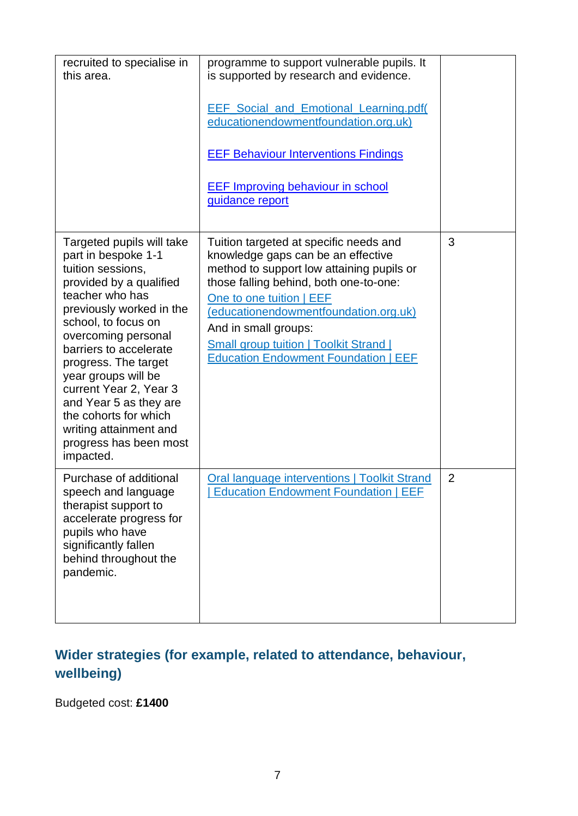| recruited to specialise in<br>this area.                                                                                                                                                                                                                                                                                                                                                                             | programme to support vulnerable pupils. It<br>is supported by research and evidence.<br><b>EEF Social and Emotional Learning.pdf</b><br>educationendowmentfoundation.org.uk)<br><b>EEF Behaviour Interventions Findings</b><br><b>EEF Improving behaviour in school</b><br>guidance report                                                                       |                |
|----------------------------------------------------------------------------------------------------------------------------------------------------------------------------------------------------------------------------------------------------------------------------------------------------------------------------------------------------------------------------------------------------------------------|------------------------------------------------------------------------------------------------------------------------------------------------------------------------------------------------------------------------------------------------------------------------------------------------------------------------------------------------------------------|----------------|
| Targeted pupils will take<br>part in bespoke 1-1<br>tuition sessions,<br>provided by a qualified<br>teacher who has<br>previously worked in the<br>school, to focus on<br>overcoming personal<br>barriers to accelerate<br>progress. The target<br>year groups will be<br>current Year 2, Year 3<br>and Year 5 as they are<br>the cohorts for which<br>writing attainment and<br>progress has been most<br>impacted. | Tuition targeted at specific needs and<br>knowledge gaps can be an effective<br>method to support low attaining pupils or<br>those falling behind, both one-to-one:<br>One to one tuition   EEF<br>(educationendowmentfoundation.org.uk)<br>And in small groups:<br><b>Small group tuition   Toolkit Strand  </b><br><b>Education Endowment Foundation   EEF</b> | 3              |
| Purchase of additional<br>speech and language<br>therapist support to<br>accelerate progress for<br>pupils who have<br>significantly fallen<br>behind throughout the<br>pandemic.                                                                                                                                                                                                                                    | <b>Oral language interventions   Toolkit Strand</b><br><b>Education Endowment Foundation   EEF</b>                                                                                                                                                                                                                                                               | $\overline{2}$ |

### **Wider strategies (for example, related to attendance, behaviour, wellbeing)**

Budgeted cost: **£1400**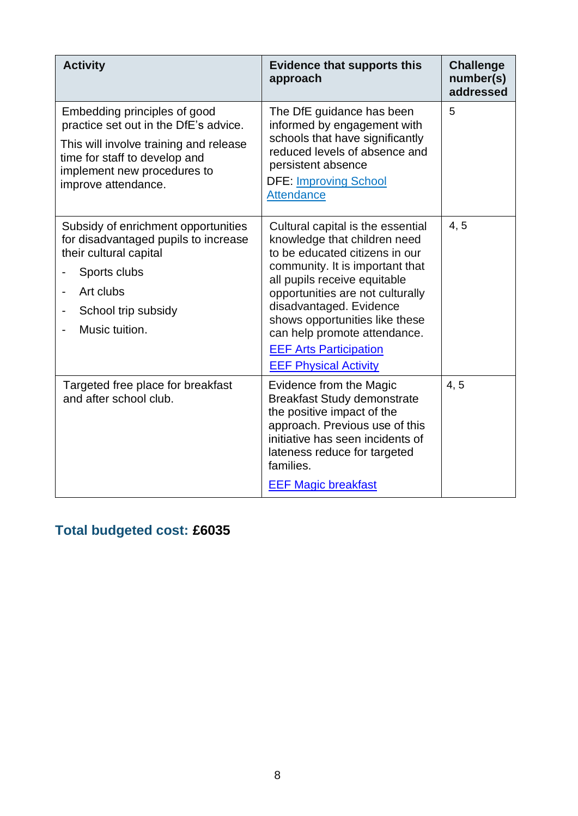| <b>Activity</b>                                                                                                                                                                                        | <b>Evidence that supports this</b><br>approach                                                                                                                                                                                                                                                                                                                           | <b>Challenge</b><br>number(s)<br>addressed |
|--------------------------------------------------------------------------------------------------------------------------------------------------------------------------------------------------------|--------------------------------------------------------------------------------------------------------------------------------------------------------------------------------------------------------------------------------------------------------------------------------------------------------------------------------------------------------------------------|--------------------------------------------|
| Embedding principles of good<br>practice set out in the DfE's advice.<br>This will involve training and release<br>time for staff to develop and<br>implement new procedures to<br>improve attendance. | The DfE guidance has been<br>informed by engagement with<br>schools that have significantly<br>reduced levels of absence and<br>persistent absence<br><b>DFE: Improving School</b><br><b>Attendance</b>                                                                                                                                                                  | 5                                          |
| Subsidy of enrichment opportunities<br>for disadvantaged pupils to increase<br>their cultural capital<br>Sports clubs<br>Art clubs<br>School trip subsidy<br>Music tuition.                            | Cultural capital is the essential<br>knowledge that children need<br>to be educated citizens in our<br>community. It is important that<br>all pupils receive equitable<br>opportunities are not culturally<br>disadvantaged. Evidence<br>shows opportunities like these<br>can help promote attendance.<br><b>EEF Arts Participation</b><br><b>EEF Physical Activity</b> | 4, 5                                       |
| Targeted free place for breakfast<br>and after school club.                                                                                                                                            | Evidence from the Magic<br><b>Breakfast Study demonstrate</b><br>the positive impact of the<br>approach. Previous use of this<br>initiative has seen incidents of<br>lateness reduce for targeted<br>families.<br><b>EEF Magic breakfast</b>                                                                                                                             | 4, 5                                       |

## **Total budgeted cost: £6035**